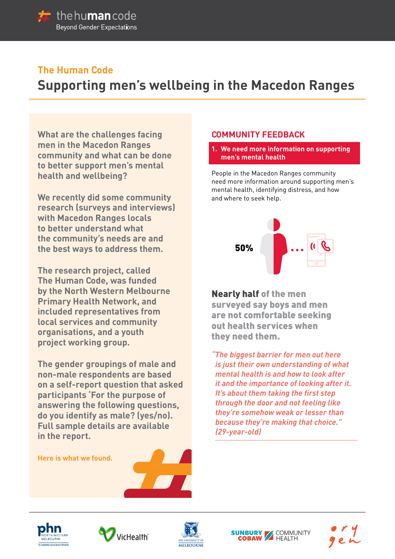

# **The Human Code**

# **Supporting men's wellbeing in the Macedon Ranges**

**What are the challenges facing men in the Macedon Ranges community and what can be done to better support men's mental health and wellbeing?** 

**We recently did some community research (surveys and interviews) with Macedon Ranges locals to better understand what the community's needs are and the best ways to address them.** 

**The research project, called The Human Code, was funded by the North Western Melbourne Primary Health Network, and included representatives from local services and community organisations, and a youth project working group.**

**The gender groupings of male and non-male respondents are based on a self-report question that asked participants 'For the purpose of answering the following questions, do you identify as male? (yes/no). Full sample details are available in the report.**

# **Here is what we found.**







# **COMMUNITY FEEDBACK**

**1. We need more information on supporting men's mental health**

People in the Macedon Ranges community need more information around supporting men's mental health, identifying distress, and how and where to seek help.



Nearly half of the men surveyed say boys and men are not comfortable seeking out health services when they need them.

*"The biggest barrier for men out here is just their own understanding of what mental health is and how to look after it and the importance of looking after it. It's about them taking the first step through the door and not feeling like they're somehow weak or lesser than because they're making that choice." (29-year-old)* 

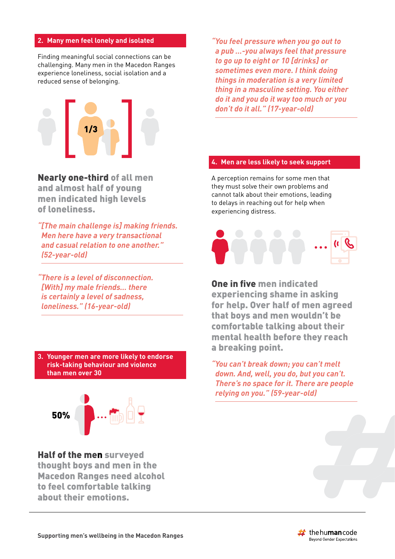# **2. Many men feel lonely and isolated**

Finding meaningful social connections can be challenging. Many men in the Macedon Ranges experience loneliness, social isolation and a reduced sense of belonging.



Nearly one-third of all men and almost half of young men indicated high levels of loneliness.

*"[The main challenge is] making friends. Men here have a very transactional and casual relation to one another." (52-year-old)* 

*"There is a level of disconnection. [With] my male friends… there is certainly a level of sadness, loneliness." (16-year-old)*

**3. Younger men are more likely to endorse risk-taking behaviour and violence than men over 30** 



Half of the men surveyed thought boys and men in the Macedon Ranges need alcohol to feel comfortable talking about their emotions.

*"You feel pressure when you go out to a pub …-you always feel that pressure to go up to eight or 10 [drinks] or sometimes even more. I think doing things in moderation is a very limited thing in a masculine setting. You either do it and you do it way too much or you don't do it all." (17-year-old)* 

# **4. Men are less likely to seek support**

A perception remains for some men that they must solve their own problems and cannot talk about their emotions, leading to delays in reaching out for help when experiencing distress.



One in five men indicated experiencing shame in asking for help. Over half of men agreed that boys and men wouldn't be comfortable talking about their mental health before they reach a breaking point.

*"You can't break down; you can't melt down. And, well, you do, but you can't. There's no space for it. There are people relying on you." (59-year-old)* 

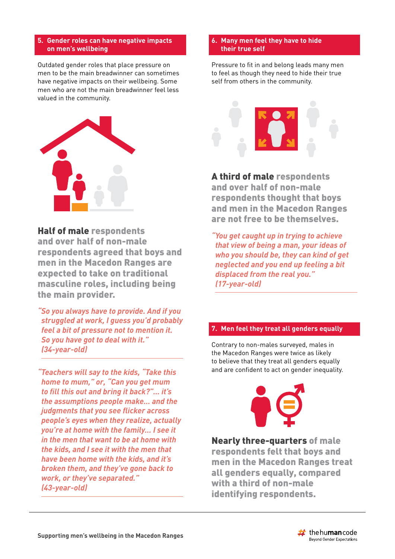# **5. Gender roles can have negative impacts on men's wellbeing**

Outdated gender roles that place pressure on men to be the main breadwinner can sometimes have negative impacts on their wellbeing. Some men who are not the main breadwinner feel less valued in the community.



# Half of male respondents

and over half of non-male respondents agreed that boys and men in the Macedon Ranges are expected to take on traditional masculine roles, including being the main provider.

*"So you always have to provide. And if you struggled at work, I guess you'd probably feel a bit of pressure not to mention it. So you have got to deal with it." (34-year-old)* 

*"Teachers will say to the kids, "Take this home to mum," or, "Can you get mum to fill this out and bring it back?"… it's the assumptions people make… and the judgments that you see flicker across people's eyes when they realize, actually you're at home with the family… I see it in the men that want to be at home with the kids, and I see it with the men that have been home with the kids, and it's broken them, and they've gone back to work, or they've separated." (43-year-old)* 

#### **6. Many men feel they have to hide their true self**

Pressure to fit in and belong leads many men to feel as though they need to hide their true self from others in the community.



A third of male respondents and over half of non-male respondents thought that boys and men in the Macedon Ranges are not free to be themselves.

*"You get caught up in trying to achieve that view of being a man, your ideas of who you should be, they can kind of get neglected and you end up feeling a bit displaced from the real you." (17-year-old)*

# **7. Men feel they treat all genders equally**

Contrary to non-males surveyed, males in the Macedon Ranges were twice as likely to believe that they treat all genders equally and are confident to act on gender inequality.



Nearly three-quarters of male respondents felt that boys and men in the Macedon Ranges treat all genders equally, compared with a third of non-male identifying respondents.